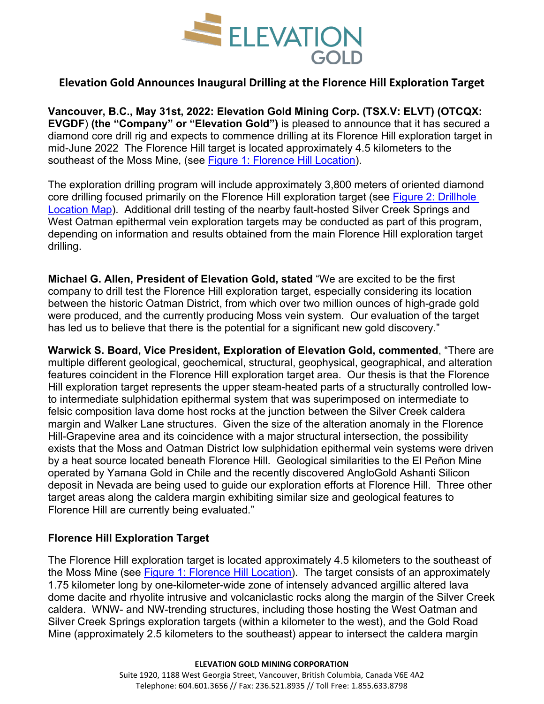

# **Elevation Gold Announces Inaugural Drilling at the Florence Hill Exploration Target**

**Vancouver, B.C., May 31st, 2022: Elevation Gold Mining Corp. (TSX.V: ELVT) (OTCQX: EVGDF**) **(the "Company" or "Elevation Gold")** is pleased to announce that it has secured a diamond core drill rig and expects to commence drilling at its Florence Hill exploration target in mid-June 2022 The Florence Hill target is located approximately 4.5 kilometers to the southeast of the Moss Mine, (see [Figure 1: Florence Hill Location\)](https://linkprotect.cudasvc.com/url?a=https%3a%2f%2felevationgold.com%2fsite%2fassets%2ffiles%2f2547%2ffigure1_florencehilllocation.pdf&c=E,1,TtJ7-HBvzKiKkXPw865UBkWAOUctuspXcam_k8M5VV7x3hC5c8a5IpCNBqH86tdzXykizLVN0YZu8z7dwrjOzHL6nvIBTtjYQLdGDieYT0Gw9i18YYQrsY04&typo=1&ancr_add=1).

The exploration drilling program will include approximately 3,800 meters of oriented diamond core drilling focused primarily on the Florence Hill exploration target (see [Figure 2: Drillhole](https://linkprotect.cudasvc.com/url?a=https%3a%2f%2felevationgold.com%2fsite%2fassets%2ffiles%2f2547%2ffigure2_drillhole_location_map.pdf&c=E,1,U_U-xQgjCklT6ejo6RzlttTSLuM3Xhps05n4njR7T2rxkh0BBizACP84M1NQRuDUeWCiag0EDO9kFIwJav3kgOaMOjK56tOAy1HvsM2g5JBHgQiNkQXI_8bG&typo=1&ancr_add=1)  [Location Map\)](https://linkprotect.cudasvc.com/url?a=https%3a%2f%2felevationgold.com%2fsite%2fassets%2ffiles%2f2547%2ffigure2_drillhole_location_map.pdf&c=E,1,U_U-xQgjCklT6ejo6RzlttTSLuM3Xhps05n4njR7T2rxkh0BBizACP84M1NQRuDUeWCiag0EDO9kFIwJav3kgOaMOjK56tOAy1HvsM2g5JBHgQiNkQXI_8bG&typo=1&ancr_add=1). Additional drill testing of the nearby fault-hosted Silver Creek Springs and West Oatman epithermal vein exploration targets may be conducted as part of this program, depending on information and results obtained from the main Florence Hill exploration target drilling.

**Michael G. Allen, President of Elevation Gold, stated** "We are excited to be the first company to drill test the Florence Hill exploration target, especially considering its location between the historic Oatman District, from which over two million ounces of high-grade gold were produced, and the currently producing Moss vein system. Our evaluation of the target has led us to believe that there is the potential for a significant new gold discovery."

**Warwick S. Board, Vice President, Exploration of Elevation Gold, commented**, "There are multiple different geological, geochemical, structural, geophysical, geographical, and alteration features coincident in the Florence Hill exploration target area. Our thesis is that the Florence Hill exploration target represents the upper steam-heated parts of a structurally controlled lowto intermediate sulphidation epithermal system that was superimposed on intermediate to felsic composition lava dome host rocks at the junction between the Silver Creek caldera margin and Walker Lane structures. Given the size of the alteration anomaly in the Florence Hill-Grapevine area and its coincidence with a major structural intersection, the possibility exists that the Moss and Oatman District low sulphidation epithermal vein systems were driven by a heat source located beneath Florence Hill. Geological similarities to the El Peñon Mine operated by Yamana Gold in Chile and the recently discovered AngloGold Ashanti Silicon deposit in Nevada are being used to guide our exploration efforts at Florence Hill. Three other target areas along the caldera margin exhibiting similar size and geological features to Florence Hill are currently being evaluated."

## **Florence Hill Exploration Target**

The Florence Hill exploration target is located approximately 4.5 kilometers to the southeast of the Moss Mine (see [Figure 1: Florence Hill Location\)](https://linkprotect.cudasvc.com/url?a=https%3a%2f%2felevationgold.com%2fsite%2fassets%2ffiles%2f2547%2ffigure1_florencehilllocation.pdf&c=E,1,TtJ7-HBvzKiKkXPw865UBkWAOUctuspXcam_k8M5VV7x3hC5c8a5IpCNBqH86tdzXykizLVN0YZu8z7dwrjOzHL6nvIBTtjYQLdGDieYT0Gw9i18YYQrsY04&typo=1&ancr_add=1). The target consists of an approximately 1.75 kilometer long by one-kilometer-wide zone of intensely advanced argillic altered lava dome dacite and rhyolite intrusive and volcaniclastic rocks along the margin of the Silver Creek caldera. WNW- and NW-trending structures, including those hosting the West Oatman and Silver Creek Springs exploration targets (within a kilometer to the west), and the Gold Road Mine (approximately 2.5 kilometers to the southeast) appear to intersect the caldera margin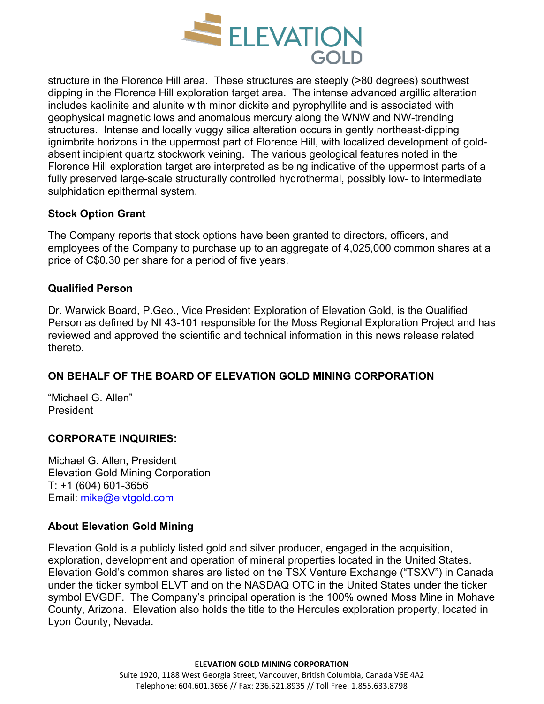

structure in the Florence Hill area. These structures are steeply (>80 degrees) southwest dipping in the Florence Hill exploration target area. The intense advanced argillic alteration includes kaolinite and alunite with minor dickite and pyrophyllite and is associated with geophysical magnetic lows and anomalous mercury along the WNW and NW-trending structures. Intense and locally vuggy silica alteration occurs in gently northeast-dipping ignimbrite horizons in the uppermost part of Florence Hill, with localized development of goldabsent incipient quartz stockwork veining. The various geological features noted in the Florence Hill exploration target are interpreted as being indicative of the uppermost parts of a fully preserved large-scale structurally controlled hydrothermal, possibly low- to intermediate sulphidation epithermal system.

## **Stock Option Grant**

The Company reports that stock options have been granted to directors, officers, and employees of the Company to purchase up to an aggregate of 4,025,000 common shares at a price of C\$0.30 per share for a period of five years.

## **Qualified Person**

Dr. Warwick Board, P.Geo., Vice President Exploration of Elevation Gold, is the Qualified Person as defined by NI 43-101 responsible for the Moss Regional Exploration Project and has reviewed and approved the scientific and technical information in this news release related thereto.

## **ON BEHALF OF THE BOARD OF ELEVATION GOLD MINING CORPORATION**

"Michael G. Allen" President

## **CORPORATE INQUIRIES:**

Michael G. Allen, President Elevation Gold Mining Corporation T: +1 (604) 601-3656 Email: [mike@elvtgold.com](mailto:mike@elvtgold.com)

## **About Elevation Gold Mining**

Elevation Gold is a publicly listed gold and silver producer, engaged in the acquisition, exploration, development and operation of mineral properties located in the United States. Elevation Gold's common shares are listed on the TSX Venture Exchange ("TSXV") in Canada under the ticker symbol ELVT and on the NASDAQ OTC in the United States under the ticker symbol EVGDF. The Company's principal operation is the 100% owned Moss Mine in Mohave County, Arizona. Elevation also holds the title to the Hercules exploration property, located in Lyon County, Nevada.